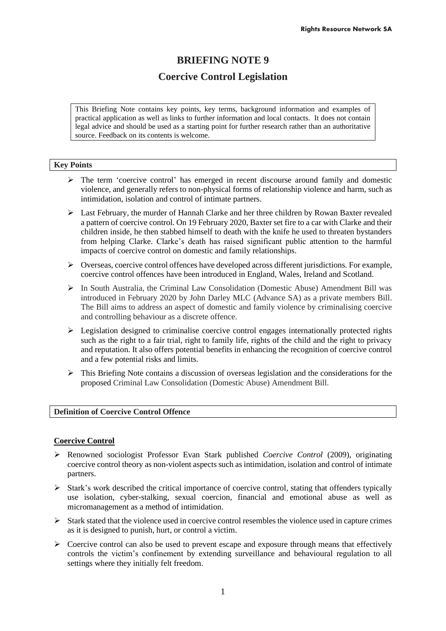# **BRIEFING NOTE 9**

# **Coercive Control Legislation**

This Briefing Note contains key points, key terms, background information and examples of practical application as well as links to further information and local contacts. It does not contain legal advice and should be used as a starting point for further research rather than an authoritative source. Feedback on its contents is welcome.

## **Key Points**

- $\triangleright$  The term 'coercive control' has emerged in recent discourse around family and domestic violence, and generally refers to non-physical forms of relationship violence and harm, such as intimidation, isolation and control of intimate partners.
- $\triangleright$  Last February, the murder of Hannah Clarke and her three children by Rowan Baxter revealed a pattern of coercive control. On 19 February 2020, Baxter set fire to a car with Clarke and their children inside, he then stabbed himself to death with the knife he used to threaten bystanders from helping Clarke. Clarke's death has raised significant public attention to the harmful impacts of coercive control on domestic and family relationships.
- $\triangleright$  Overseas, coercive control offences have developed across different jurisdictions. For example, coercive control offences have been introduced in England, Wales, Ireland and Scotland.
- ➢ In South Australia, the Criminal Law Consolidation (Domestic Abuse) Amendment Bill was introduced in February 2020 by John Darley MLC (Advance SA) as a private members Bill. The Bill aims to address an aspect of domestic and family violence by criminalising coercive and controlling behaviour as a discrete offence.
- ➢ Legislation designed to criminalise coercive control engages internationally protected rights such as the right to a fair trial, right to family life, rights of the child and the right to privacy and reputation. It also offers potential benefits in enhancing the recognition of coercive control and a few potential risks and limits.
- ➢ This Briefing Note contains a discussion of overseas legislation and the considerations for the proposed Criminal Law Consolidation (Domestic Abuse) Amendment Bill.

# **Definition of Coercive Control Offence**

## **Coercive Control**

- ➢ Renowned sociologist Professor Evan Stark published *Coercive Control* (2009), originating coercive control theory as non-violent aspects such as intimidation, isolation and control of intimate partners.
- $\triangleright$  Stark's work described the critical importance of coercive control, stating that offenders typically use isolation, cyber-stalking, sexual coercion, financial and emotional abuse as well as micromanagement as a method of intimidation.
- $\triangleright$  Stark stated that the violence used in coercive control resembles the violence used in capture crimes as it is designed to punish, hurt, or control a victim.
- $\triangleright$  Coercive control can also be used to prevent escape and exposure through means that effectively controls the victim's confinement by extending surveillance and behavioural regulation to all settings where they initially felt freedom.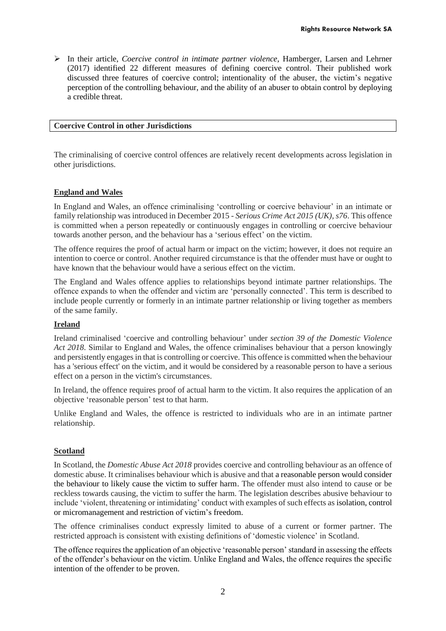➢ In their article, *Coercive control in intimate partner violence,* Hamberger, Larsen and Lehrner (2017) identified 22 different measures of defining coercive control. Their published work discussed three features of coercive control; intentionality of the abuser, the victim's negative perception of the controlling behaviour, and the ability of an abuser to obtain control by deploying a credible threat.

#### **Coercive Control in other Jurisdictions**

The criminalising of coercive control offences are relatively recent developments across legislation in other jurisdictions.

#### **England and Wales**

In England and Wales, an offence criminalising 'controlling or coercive behaviour' in an intimate or family relationship was introduced in December 2015 - *Serious Crime Act 2015 (UK), s76*. This offence is committed when a person repeatedly or continuously engages in controlling or coercive behaviour towards another person, and the behaviour has a 'serious effect' on the victim.

The offence requires the proof of actual harm or impact on the victim; however, it does not require an intention to coerce or control. Another required circumstance is that the offender must have or ought to have known that the behaviour would have a serious effect on the victim.

The England and Wales offence applies to relationships beyond intimate partner relationships. The offence expands to when the offender and victim are 'personally connected'. This term is described to include people currently or formerly in an intimate partner relationship or living together as members of the same family.

#### **Ireland**

Ireland criminalised 'coercive and controlling behaviour' under *section 39 of the Domestic Violence Act 2018*. Similar to England and Wales, the offence criminalises behaviour that a person knowingly and persistently engages in that is controlling or coercive. This offence is committed when the behaviour has a 'serious effect' on the victim, and it would be considered by a reasonable person to have a serious effect on a person in the victim's circumstances.

In Ireland, the offence requires proof of actual harm to the victim. It also requires the application of an objective 'reasonable person' test to that harm.

Unlike England and Wales, the offence is restricted to individuals who are in an intimate partner relationship.

#### **Scotland**

In Scotland, the *Domestic Abuse Act 2018* provides coercive and controlling behaviour as an offence of domestic abuse. It criminalises behaviour which is abusive and that a reasonable person would consider the behaviour to likely cause the victim to suffer harm. The offender must also intend to cause or be reckless towards causing, the victim to suffer the harm. The legislation describes abusive behaviour to include 'violent, threatening or intimidating' conduct with examples of such effects as isolation, control or micromanagement and restriction of victim's freedom.

The offence criminalises conduct expressly limited to abuse of a current or former partner. The restricted approach is consistent with existing definitions of 'domestic violence' in Scotland.

The offence requires the application of an objective 'reasonable person' standard in assessing the effects of the offender's behaviour on the victim. Unlike England and Wales, the offence requires the specific intention of the offender to be proven.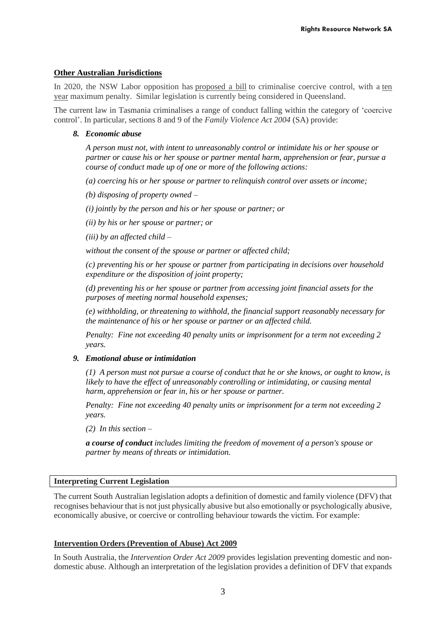## **Other Australian Jurisdictions**

In 2020, the NSW Labor opposition has [proposed a bill](https://www.abc.net.au/news/2020-09-15/-drum-nsw-coercive-control-law/12662614) to criminalise coercive control, with a [ten](https://www.abc.net.au/news/2020-09-15/-drum-nsw-coercive-control-law/12662614)  [year](https://www.abc.net.au/news/2020-09-15/-drum-nsw-coercive-control-law/12662614) maximum penalty. Similar legislation is currently being considered in Queensland.

The current law in Tasmania criminalises a range of conduct falling within the category of 'coercive control'. In particular, sections 8 and 9 of the *Family Violence Act 2004* (SA) provide:

## *8. Economic abuse*

*A person must not, with intent to unreasonably control or intimidate his or her spouse or partner or cause his or her spouse or partner mental harm, apprehension or fear, pursue a course of conduct made up of one or more of the following actions:*

*(a) coercing his or her spouse or partner to relinquish control over assets or income;*

*(b) disposing of property owned –*

*(i) jointly by the person and his or her spouse or partner; or*

*(ii) by his or her spouse or partner; or*

*(iii) by an affected child –*

*without the consent of the spouse or partner or affected child;*

*(c) preventing his or her spouse or partner from participating in decisions over household expenditure or the disposition of joint property;*

*(d) preventing his or her spouse or partner from accessing joint financial assets for the purposes of meeting normal household expenses;*

*(e) withholding, or threatening to withhold, the financial support reasonably necessary for the maintenance of his or her spouse or partner or an affected child.*

*Penalty: Fine not exceeding 40 penalty units or imprisonment for a term not exceeding 2 years.*

## *9. Emotional abuse or intimidation*

*(1) A person must not pursue a course of conduct that he or she knows, or ought to know, is likely to have the effect of unreasonably controlling or intimidating, or causing mental harm, apprehension or fear in, his or her spouse or partner.*

*Penalty: Fine not exceeding 40 penalty units or imprisonment for a term not exceeding 2 years.*

*(2) In this section –*

*a course of conduct includes limiting the freedom of movement of a person's spouse or partner by means of threats or intimidation.*

## **Interpreting Current Legislation**

The current South Australian legislation adopts a definition of domestic and family violence (DFV) that recognises behaviour that is not just physically abusive but also emotionally or psychologically abusive, economically abusive, or coercive or controlling behaviour towards the victim. For example:

## **Intervention Orders (Prevention of Abuse) Act 2009**

In South Australia, the *Intervention Order Act 2009* provides legislation preventing domestic and nondomestic abuse. Although an interpretation of the legislation provides a definition of DFV that expands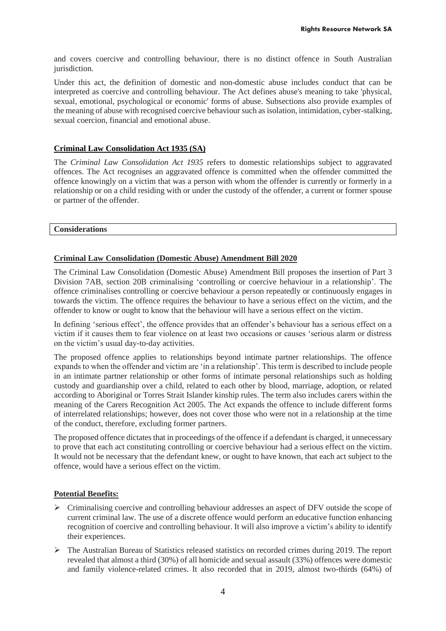and covers coercive and controlling behaviour, there is no distinct offence in South Australian jurisdiction.

Under this act, the definition of domestic and non-domestic abuse includes conduct that can be interpreted as coercive and controlling behaviour. The Act defines abuse's meaning to take 'physical, sexual, emotional, psychological or economic' forms of abuse. Subsections also provide examples of the meaning of abuse with recognised coercive behaviour such as isolation, intimidation, cyber-stalking, sexual coercion, financial and emotional abuse.

# **Criminal Law Consolidation Act 1935 (SA)**

The *Criminal Law Consolidation Act 1935* refers to domestic relationships subject to aggravated offences. The Act recognises an aggravated offence is committed when the offender committed the offence knowingly on a victim that was a person with whom the offender is currently or formerly in a relationship or on a child residing with or under the custody of the offender, a current or former spouse or partner of the offender.

#### **Considerations**

## **Criminal Law Consolidation (Domestic Abuse) Amendment Bill 2020**

The Criminal Law Consolidation (Domestic Abuse) Amendment Bill proposes the insertion of Part 3 Division 7AB, section 20B criminalising 'controlling or coercive behaviour in a relationship'. The offence criminalises controlling or coercive behaviour a person repeatedly or continuously engages in towards the victim. The offence requires the behaviour to have a serious effect on the victim, and the offender to know or ought to know that the behaviour will have a serious effect on the victim.

In defining 'serious effect', the offence provides that an offender's behaviour has a serious effect on a victim if it causes them to fear violence on at least two occasions or causes 'serious alarm or distress on the victim's usual day-to-day activities.

The proposed offence applies to relationships beyond intimate partner relationships. The offence expands to when the offender and victim are 'in a relationship'. This term is described to include people in an intimate partner relationship or other forms of intimate personal relationships such as holding custody and guardianship over a child, related to each other by blood, marriage, adoption, or related according to Aboriginal or Torres Strait Islander kinship rules. The term also includes carers within the meaning of the Carers Recognition Act 2005. The Act expands the offence to include different forms of interrelated relationships; however, does not cover those who were not in a relationship at the time of the conduct, therefore, excluding former partners.

The proposed offence dictates that in proceedings of the offence if a defendant is charged, it unnecessary to prove that each act constituting controlling or coercive behaviour had a serious effect on the victim. It would not be necessary that the defendant knew, or ought to have known, that each act subject to the offence, would have a serious effect on the victim.

## **Potential Benefits:**

- $\triangleright$  Criminalising coercive and controlling behaviour addresses an aspect of DFV outside the scope of current criminal law. The use of a discrete offence would perform an educative function enhancing recognition of coercive and controlling behaviour. It will also improve a victim's ability to identify their experiences.
- ➢ The Australian Bureau of Statistics released statistics on recorded crimes during 2019. The report revealed that almost a third (30%) of all homicide and sexual assault (33%) offences were domestic and family violence-related crimes. It also recorded that in 2019, almost two-thirds (64%) of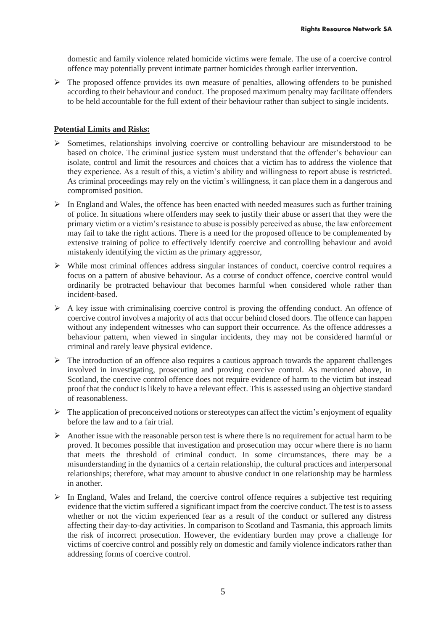domestic and family violence related homicide victims were female. The use of a coercive control offence may potentially prevent intimate partner homicides through earlier intervention.

 $\triangleright$  The proposed offence provides its own measure of penalties, allowing offenders to be punished according to their behaviour and conduct. The proposed maximum penalty may facilitate offenders to be held accountable for the full extent of their behaviour rather than subject to single incidents.

## **Potential Limits and Risks:**

- ➢ Sometimes, relationships involving coercive or controlling behaviour are misunderstood to be based on choice. The criminal justice system must understand that the offender's behaviour can isolate, control and limit the resources and choices that a victim has to address the violence that they experience. As a result of this, a victim's ability and willingness to report abuse is restricted. As criminal proceedings may rely on the victim's willingness, it can place them in a dangerous and compromised position.
- $\triangleright$  In England and Wales, the offence has been enacted with needed measures such as further training of police. In situations where offenders may seek to justify their abuse or assert that they were the primary victim or a victim's resistance to abuse is possibly perceived as abuse, the law enforcement may fail to take the right actions. There is a need for the proposed offence to be complemented by extensive training of police to effectively identify coercive and controlling behaviour and avoid mistakenly identifying the victim as the primary aggressor,
- ➢ While most criminal offences address singular instances of conduct, coercive control requires a focus on a pattern of abusive behaviour. As a course of conduct offence, coercive control would ordinarily be protracted behaviour that becomes harmful when considered whole rather than incident-based.
- $\triangleright$  A key issue with criminalising coercive control is proving the offending conduct. An offence of coercive control involves a majority of acts that occur behind closed doors. The offence can happen without any independent witnesses who can support their occurrence. As the offence addresses a behaviour pattern, when viewed in singular incidents, they may not be considered harmful or criminal and rarely leave physical evidence.
- $\triangleright$  The introduction of an offence also requires a cautious approach towards the apparent challenges involved in investigating, prosecuting and proving coercive control. As mentioned above, in Scotland, the coercive control offence does not require evidence of harm to the victim but instead proof that the conduct is likely to have a relevant effect. This is assessed using an objective standard of reasonableness.
- $\triangleright$  The application of preconceived notions or stereotypes can affect the victim's enjoyment of equality before the law and to a fair trial.
- $\triangleright$  Another issue with the reasonable person test is where there is no requirement for actual harm to be proved. It becomes possible that investigation and prosecution may occur where there is no harm that meets the threshold of criminal conduct. In some circumstances, there may be a misunderstanding in the dynamics of a certain relationship, the cultural practices and interpersonal relationships; therefore, what may amount to abusive conduct in one relationship may be harmless in another.
- $\triangleright$  In England, Wales and Ireland, the coercive control offence requires a subjective test requiring evidence that the victim suffered a significant impact from the coercive conduct. The test is to assess whether or not the victim experienced fear as a result of the conduct or suffered any distress affecting their day-to-day activities. In comparison to Scotland and Tasmania, this approach limits the risk of incorrect prosecution. However, the evidentiary burden may prove a challenge for victims of coercive control and possibly rely on domestic and family violence indicators rather than addressing forms of coercive control.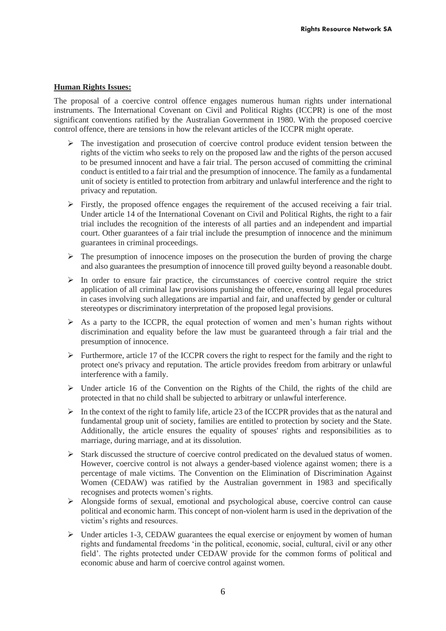## **Human Rights Issues:**

The proposal of a coercive control offence engages numerous human rights under international instruments. The International Covenant on Civil and Political Rights (ICCPR) is one of the most significant conventions ratified by the Australian Government in 1980. With the proposed coercive control offence, there are tensions in how the relevant articles of the ICCPR might operate.

- ➢ The investigation and prosecution of coercive control produce evident tension between the rights of the victim who seeks to rely on the proposed law and the rights of the person accused to be presumed innocent and have a fair trial. The person accused of committing the criminal conduct is entitled to a fair trial and the presumption of innocence. The family as a fundamental unit of society is entitled to protection from arbitrary and unlawful interference and the right to privacy and reputation.
- ➢ Firstly, the proposed offence engages the requirement of the accused receiving a fair trial. Under article 14 of the International Covenant on Civil and Political Rights, the right to a fair trial includes the recognition of the interests of all parties and an independent and impartial court. Other guarantees of a fair trial include the presumption of innocence and the minimum guarantees in criminal proceedings.
- $\triangleright$  The presumption of innocence imposes on the prosecution the burden of proving the charge and also guarantees the presumption of innocence till proved guilty beyond a reasonable doubt.
- $\triangleright$  In order to ensure fair practice, the circumstances of coercive control require the strict application of all criminal law provisions punishing the offence, ensuring all legal procedures in cases involving such allegations are impartial and fair, and unaffected by gender or cultural stereotypes or discriminatory interpretation of the proposed legal provisions.
- $\triangleright$  As a party to the ICCPR, the equal protection of women and men's human rights without discrimination and equality before the law must be guaranteed through a fair trial and the presumption of innocence.
- $\triangleright$  Furthermore, article 17 of the ICCPR covers the right to respect for the family and the right to protect one's privacy and reputation. The article provides freedom from arbitrary or unlawful interference with a family.
- ➢ Under article 16 of the Convention on the Rights of the Child, the rights of the child are protected in that no child shall be subjected to arbitrary or unlawful interference.
- $\triangleright$  In the context of the right to family life, article 23 of the ICCPR provides that as the natural and fundamental group unit of society, families are entitled to protection by society and the State. Additionally, the article ensures the equality of spouses' rights and responsibilities as to marriage, during marriage, and at its dissolution.
- ➢ Stark discussed the structure of coercive control predicated on the devalued status of women. However, coercive control is not always a gender-based violence against women; there is a percentage of male victims. The Convention on the Elimination of Discrimination Against Women (CEDAW) was ratified by the Australian government in 1983 and specifically recognises and protects women's rights.
- ➢ Alongside forms of sexual, emotional and psychological abuse, coercive control can cause political and economic harm. This concept of non-violent harm is used in the deprivation of the victim's rights and resources.
- $\triangleright$  Under articles 1-3, CEDAW guarantees the equal exercise or enjoyment by women of human rights and fundamental freedoms 'in the political, economic, social, cultural, civil or any other field'. The rights protected under CEDAW provide for the common forms of political and economic abuse and harm of coercive control against women.